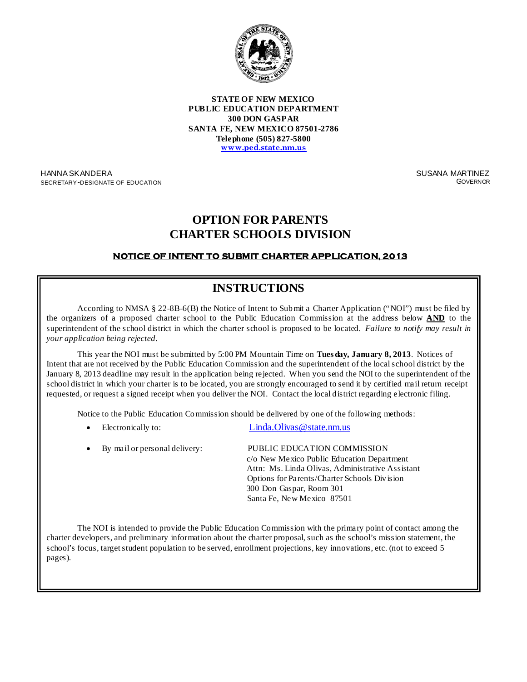

**STATE OF NEW MEXICO PUBLIC EDUCATION DEPARTMENT 300 DON GASPAR SANTA FE, NEW MEXICO 87501-2786 Telephone (505) 827-5800 [www.ped.state.nm.us](http://www.sde.state.nm.us/)**

HANNA SKANDERA SECRETARY-DESIGNATE OF EDUCATION SUSANA MARTINEZ **GOVERNOR** 

## **OPTION FOR PARENTS CHARTER SCHOOLS DIVISION**

### **NOTICE OF INTENT TO SUBMIT CHARTER APPLICATION, 2013**

# **INSTRUCTIONS**

According to NMSA § 22-8B-6(B) the Notice of Intent to Submit a Charter Application ("NOI") must be filed by the organizers of a proposed charter school to the Public Education Commission at the address below **AND** to the superintendent of the school district in which the charter school is proposed to be located. *Failure to notify may result in your application being rejected*.

This year the NOI must be submitted by 5:00 PM Mountain Time on **Tues day, January 8, 2013**. Notices of Intent that are not received by the Public Education Commission and the superintendent of the local school district by the January 8, 2013 deadline may result in the application being rejected. When you send the NOI to the superintendent of the school district in which your charter is to be located, you are strongly encouraged to send it by certified mail return receipt requested, or request a signed receipt when you deliver the NOI. Contact the local district regarding electronic filing.

Notice to the Public Education Commission should be delivered by one of the following methods:

Electronically to: Linda.Olivas @ state.nm.us

| • By mail or personal delivery: | PUBLIC EDUCATION COMMISSION                      |
|---------------------------------|--------------------------------------------------|
|                                 | c/o New Mexico Public Education Department       |
|                                 | Attn: Ms. Linda Olivas, Administrative Assistant |
|                                 | Options for Parents/Charter Schools Division     |
|                                 | 300 Don Gaspar, Room 301                         |
|                                 | Santa Fe, New Mexico 87501                       |

The NOI is intended to provide the Public Education Commission with the primary point of contact among the charter developers, and preliminary information about the charter proposal, such as the school's mission statement, the school's focus, target student population to be served, enrollment projections, key innovations, etc. (not to exceed 5  $\text{ges}$ ). pages).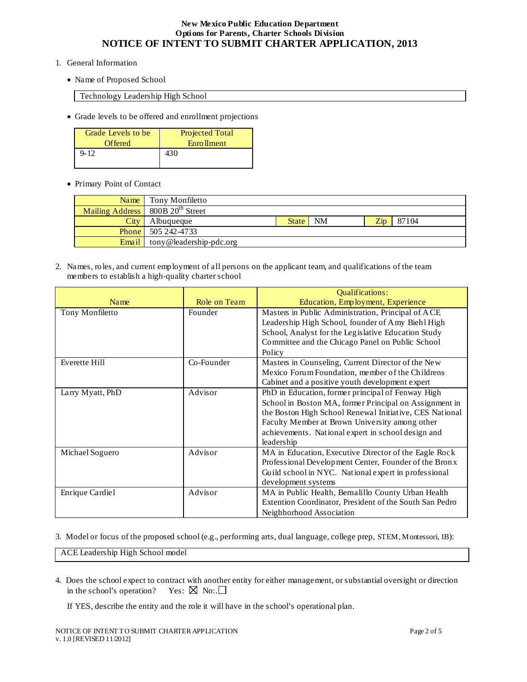- 1. General Information
	- Name of Proposed School

Technology Leadership High School

• Grade levels to be offered and enrollment projections

| Grade Levels to be | Projected Total   |
|--------------------|-------------------|
| <b>Offered</b>     | <b>Enrollment</b> |
| $9 - 12$           | 430               |
|                    |                   |

• Primary Point of Contact

| Name  | Tony Monfiletto                                |       |    |                 |       |
|-------|------------------------------------------------|-------|----|-----------------|-------|
|       | Mailing Address   800B 20 <sup>th</sup> Street |       |    |                 |       |
| City  | Albuqueque                                     | State | NM | 7 <sub>in</sub> | 87104 |
|       | <b>Phone</b> 505 242-4733                      |       |    |                 |       |
| Email | tony@leadership-pdc.org                        |       |    |                 |       |

2. Names, roles, and current employment of all persons on the applicant team, and qualifications of the team members to establish a high-quality charter school

|                  |              | <b>Oualifications:</b>                                  |  |  |
|------------------|--------------|---------------------------------------------------------|--|--|
| Name             | Role on Team | Education, Employment, Experience                       |  |  |
| Tony Monfiletto  | Founder      | Masters in Public Administration, Principal of ACE      |  |  |
|                  |              | Leadership High School, founder of Amy Biehl High       |  |  |
|                  |              | School, Analyst for the Legislative Education Study     |  |  |
|                  |              | Committee and the Chicago Panel on Public School        |  |  |
|                  |              | Policy                                                  |  |  |
| Everette Hill    | Co-Founder   | Masters in Counseling, Current Director of the New      |  |  |
|                  |              | Mexico Forum Foundation, member of the Childrens        |  |  |
|                  |              | Cabinet and a positive youth development expert         |  |  |
| Larry Myatt, PhD | Advisor      | PhD in Education, former principal of Fenway High       |  |  |
|                  |              | School in Boston MA, former Principal on Assignment in  |  |  |
|                  |              | the Boston High School Renewal Initiative, CES National |  |  |
|                  |              | Faculty Member at Brown University among other          |  |  |
|                  |              | achievements. National expert in school design and      |  |  |
|                  |              | leadership                                              |  |  |
| Michael Soguero  | Advisor      | MA in Education, Executive Director of the Eagle Rock   |  |  |
|                  |              | Professional Development Center, Founder of the Bronx   |  |  |
|                  |              | Guild school in NYC. National expert in professional    |  |  |
|                  |              | development systems                                     |  |  |
| Enrique Cardiel  | Advisor      | MA in Public Health, Bernalillo County Urban Health     |  |  |
|                  |              | Extention Coordinator, President of the South San Pedro |  |  |
|                  |              | Neighborhood Association                                |  |  |

3. Model or focus of the proposed school (e.g., performing arts, dual language, college prep, STEM, Montessori, IB):

ACE Leadership High School model

4. Does the school expect to contract with another entity for either management, or substantial oversight or direction in the school's operation? Yes:  $\boxtimes$  No:.

If YES, describe the entity and the role it will have in the school's operational plan.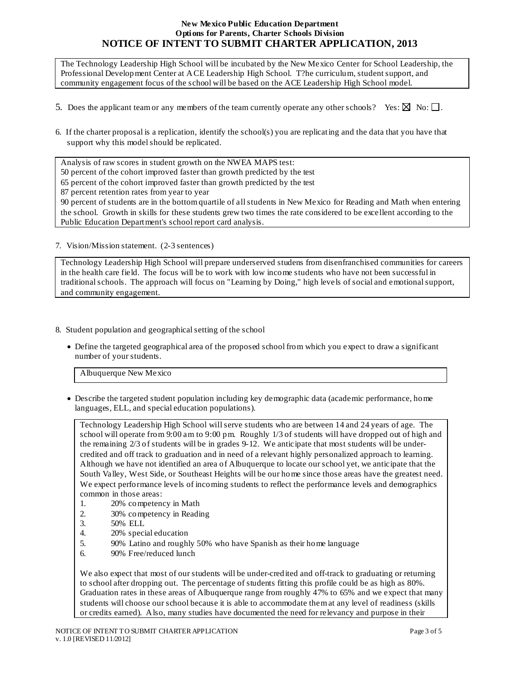The Technology Leadership High School will be incubated by the New Mexico Center for School Leadership, the Professional Development Center at ACE Leadership High School. T?he curriculum, student support, and community engagement focus of the school will be based on the ACE Leadership High School model.

- 5. Does the applicant team or any members of the team currently operate any other schools? Yes:  $\boxtimes$  No:  $\square$ .
- 6. If the charter proposal is a replication, identify the school(s) you are replicating and the data that you have that support why this model should be replicated.

Analysis of raw scores in student growth on the NWEA MAPS test:

- 50 percent of the cohort improved faster than growth predicted by the test
- 65 percent of the cohort improved faster than growth predicted by the test

87 percent retention rates from year to year

90 percent of students are in the bottom quartile of all students in New Mexico for Reading and Math when entering the school. Growth in skills for these students grew two times the rate considered to be excellent according to the Public Education Department's school report card analysis.

7. Vision/Mission statement. (2-3 sentences)

Technology Leadership High School will prepare underserved studens from disenfranchised communities for careers in the health care field. The focus will be to work with low income students who have not been successful in traditional schools. The approach will focus on "Learning by Doing," high levels of social and emotional support, and community engagement.

- 8. Student population and geographical setting of the school
	- Define the targeted geographical area of the proposed school from which you expect to draw a significant number of your students.

Albuquerque New Mexico

• Describe the targeted student population including key demographic data (academic performance, home languages, ELL, and special education populations).

Technology Leadership High School will serve students who are between 14 and 24 years of age. The school will operate from 9:00 am to 9:00 pm. Roughly 1/3 of students will have dropped out of high and the remaining 2/3 of students will be in grades 9-12. We anticipate that most students will be undercredited and off track to graduation and in need of a relevant highly personalized approach to learning. Although we have not identified an area of Albuquerque to locate our school yet, we anticipate that the South Valley, West Side, or Southeast Heights will be our home since those areas have the greatest need. We expect performance levels of incoming students to reflect the performance levels and demographics common in those areas:

- 1. 20% competency in Math
- 2. 30% competency in Reading
- 
- 3. 50% ELL<br>4. 20% speci 20% special education
- 5. 90% Latino and roughly 50% who have Spanish as their home language 6. 90% Free/reduced lunch
- 6. 90% Free/reduced lunch

We also expect that most of our students will be under-credited and off-track to graduating or returning to school after dropping out. The percentage of students fitting this profile could be as high as 80%. Graduation rates in these areas of Albuquerque range from roughly 47% to 65% and we expect that many students will choose our school because it is able to accommodate them at any level of readiness (skills or credits earned). Also, many studies have documented the need for relevancy and purpose in their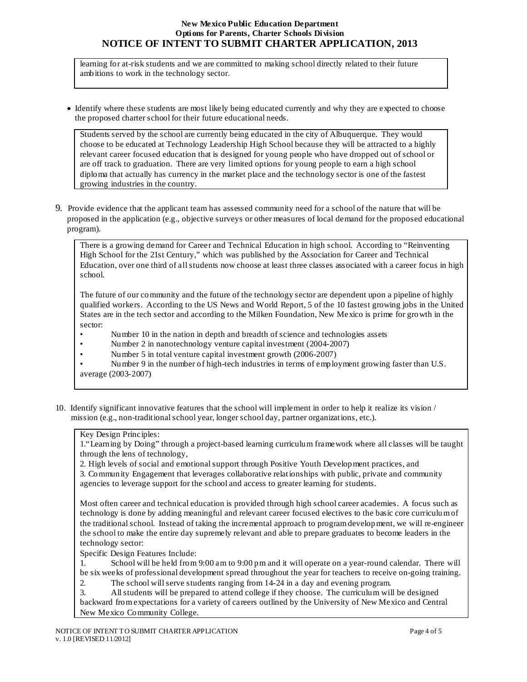learning for at-risk students and we are committed to making school directly related to their future ambitions to work in the technology sector.

• Identify where these students are most likely being educated currently and why they are expected to choose the proposed charter school for their future educational needs.

Students served by the school are currently being educated in the city of Albuquerque. They would choose to be educated at Technology Leadership High School because they will be attracted to a highly relevant career focused education that is designed for young people who have dropped out of school or are off track to graduation. There are very limited options for young people to earn a high school diploma that actually has currency in the market place and the technology sector is one of the fastest growing industries in the country.

9. Provide evidence that the applicant team has assessed community need for a school of the nature that will be proposed in the application (e.g., objective surveys or other measures of local demand for the proposed educational program).

There is a growing demand for Career and Technical Education in high school. According to "Reinventing High School for the 21st Century," which was published by the Association for Career and Technical Education, over one third of all students now choose at least three classes associated with a career focus in high school.

The future of our community and the future of the technology sector are dependent upon a pipeline of highly qualified workers. According to the US News and World Report, 5 of the 10 fastest growing jobs in the United States are in the tech sector and according to the Milken Foundation, New Mexico is prime for growth in the sector:

- Number 10 in the nation in depth and breadth of science and technologies assets
- Number 2 in nanotechnology venture capital investment (2004-2007)
- Number 5 in total venture capital investment growth (2006-2007)

• Number 9 in the number of high-tech industries in terms of employment growing faster than U.S. average (2003-2007)

10. Identify significant innovative features that the school will implement in order to help it realize its vision / mission (e.g., non-traditional school year, longer school day, partner organizations, etc.).

#### Key Design Principles:

1."Learning by Doing" through a project-based learning curriculum framework where all classes will be taught through the lens of technology,

2. High levels of social and emotional support through Positive Youth Development practices, and

3. Community Engagement that leverages collaborative relationships with public, private and community agencies to leverage support for the school and access to greater learning for students.

Most often career and technical education is provided through high school career academies. A focus such as technology is done by adding meaningful and relevant career focused electives to the basic core curriculum of the traditional school. Instead of taking the incremental approach to program development, we will re-engineer the school to make the entire day supremely relevant and able to prepare graduates to become leaders in the technology sector:

Specific Design Features Include:

1. School will be held from 9:00 am to 9:00 pm and it will operate on a year-round calendar. There will be six weeks of professional development spread throughout the year for teachers to receive on-going training.

2. The school will serve students ranging from 14-24 in a day and evening program.<br>3. All students will be prepared to attend college if they choose. The curriculum will

3. All students will be prepared to attend college if they choose. The curriculum will be designed backward from expectations for a variety of careers outlined by the University of New Mexico and Central New Mexico Community College.